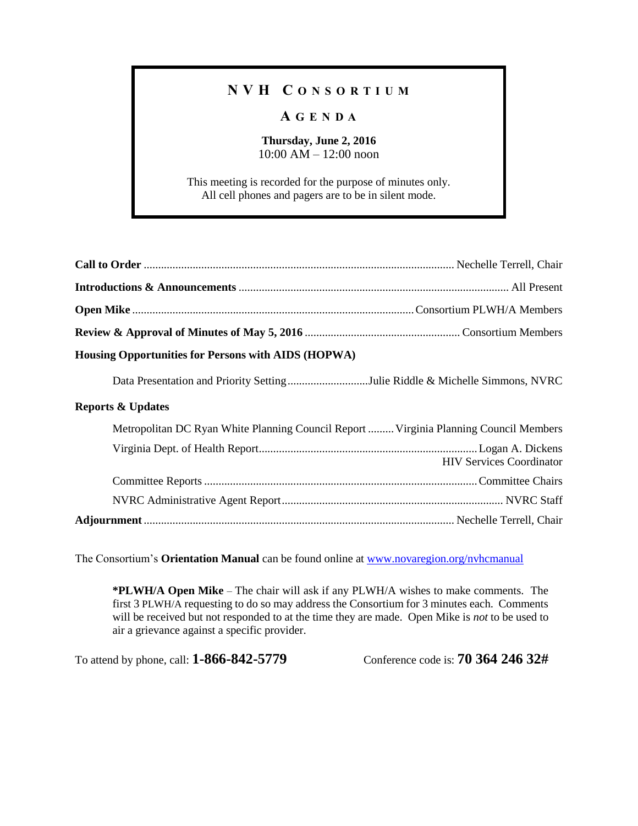## **N V H C O N S O R T I U M**

## **A G E N D A**

**Thursday, June 2, 2016** 10:00 AM – 12:00 noon

This meeting is recorded for the purpose of minutes only. All cell phones and pagers are to be in silent mode.

| Housing Opportunities for Persons with AIDS (HOPWA)                                   |                                 |  |
|---------------------------------------------------------------------------------------|---------------------------------|--|
| Data Presentation and Priority SettingJulie Riddle & Michelle Simmons, NVRC           |                                 |  |
| <b>Reports &amp; Updates</b>                                                          |                                 |  |
| Metropolitan DC Ryan White Planning Council Report  Virginia Planning Council Members |                                 |  |
|                                                                                       | <b>HIV Services Coordinator</b> |  |
|                                                                                       |                                 |  |
|                                                                                       |                                 |  |
|                                                                                       |                                 |  |

The Consortium's **Orientation Manual** can be found online at [www.novaregion.org/nvhcmanual](http://www.novaregion.org/nvhcmanual)

**\*PLWH/A Open Mike** – The chair will ask if any PLWH/A wishes to make comments. The first 3 PLWH/A requesting to do so may address the Consortium for 3 minutes each. Comments will be received but not responded to at the time they are made. Open Mike is *not* to be used to air a grievance against a specific provider.

To attend by phone, call: **1-866-842-5779** Conference code is: **70 364 246 32#**